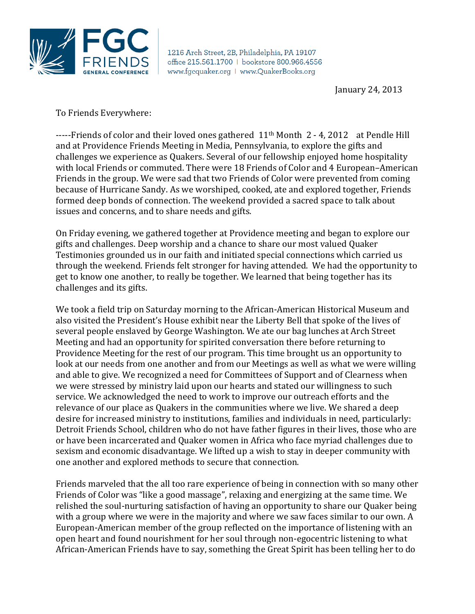

1216 Arch Street, 2B, Philadelphia, PA 19107 office 215.561.1700 | bookstore 800.966.4556 www.fgcquaker.org | www.QuakerBooks.org

January 24, 2013

To Friends Everywhere:

-----Friends of color and their loved ones gathered 11th Month 2 - 4, 2012 at Pendle Hill and at Providence Friends Meeting in Media, Pennsylvania, to explore the gifts and challenges we experience as Quakers. Several of our fellowship enjoyed home hospitality with local Friends or commuted. There were 18 Friends of Color and 4 European–American Friends in the group. We were sad that two Friends of Color were prevented from coming because of Hurricane Sandy. As we worshiped, cooked, ate and explored together, Friends formed deep bonds of connection. The weekend provided a sacred space to talk about issues and concerns, and to share needs and gifts.

On Friday evening, we gathered together at Providence meeting and began to explore our gifts and challenges. Deep worship and a chance to share our most valued Quaker Testimonies grounded us in our faith and initiated special connections which carried us through the weekend. Friends felt stronger for having attended. We had the opportunity to get to know one another, to really be together. We learned that being together has its challenges and its gifts.

We took a field trip on Saturday morning to the African-American Historical Museum and also visited the President's House exhibit near the Liberty Bell that spoke of the lives of several people enslaved by George Washington. We ate our bag lunches at Arch Street Meeting and had an opportunity for spirited conversation there before returning to Providence Meeting for the rest of our program. This time brought us an opportunity to look at our needs from one another and from our Meetings as well as what we were willing and able to give. We recognized a need for Committees of Support and of Clearness when we were stressed by ministry laid upon our hearts and stated our willingness to such service. We acknowledged the need to work to improve our outreach efforts and the relevance of our place as Quakers in the communities where we live. We shared a deep desire for increased ministry to institutions, families and individuals in need, particularly: Detroit Friends School, children who do not have father figures in their lives, those who are or have been incarcerated and Quaker women in Africa who face myriad challenges due to sexism and economic disadvantage. We lifted up a wish to stay in deeper community with one another and explored methods to secure that connection.

Friends marveled that the all too rare experience of being in connection with so many other Friends of Color was "like a good massage", relaxing and energizing at the same time. We relished the soul-nurturing satisfaction of having an opportunity to share our Quaker being with a group where we were in the majority and where we saw faces similar to our own. A European-American member of the group reflected on the importance of listening with an open heart and found nourishment for her soul through non-egocentric listening to what African-American Friends have to say, something the Great Spirit has been telling her to do